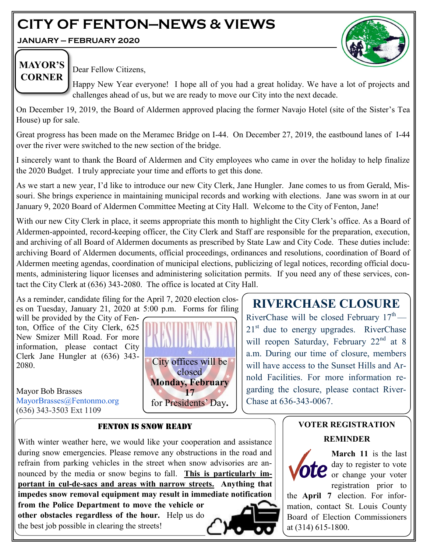# **CITY OF FENTON—NEWS & VIEWS**

**JANUARY — FEBRUARY 2020**



# **MAYOR'S CORNER**

Dear Fellow Citizens,

Happy New Year everyone! I hope all of you had a great holiday. We have a lot of projects and challenges ahead of us, but we are ready to move our City into the next decade.

On December 19, 2019, the Board of Aldermen approved placing the former Navajo Hotel (site of the Sister's Tea House) up for sale.

Great progress has been made on the Meramec Bridge on I-44. On December 27, 2019, the eastbound lanes of I-44 over the river were switched to the new section of the bridge.

I sincerely want to thank the Board of Aldermen and City employees who came in over the holiday to help finalize the 2020 Budget. I truly appreciate your time and efforts to get this done.

As we start a new year, I'd like to introduce our new City Clerk, Jane Hungler. Jane comes to us from Gerald, Missouri. She brings experience in maintaining municipal records and working with elections. Jane was sworn in at our January 9, 2020 Board of Aldermen Committee Meeting at City Hall. Welcome to the City of Fenton, Jane!

With our new City Clerk in place, it seems appropriate this month to highlight the City Clerk's office. As a Board of Aldermen-appointed, record-keeping officer, the City Clerk and Staff are responsible for the preparation, execution, and archiving of all Board of Aldermen documents as prescribed by State Law and City Code. These duties include: archiving Board of Aldermen documents, official proceedings, ordinances and resolutions, coordination of Board of Aldermen meeting agendas, coordination of municipal elections, publicizing of legal notices, recording official documents, administering liquor licenses and administering solicitation permits. If you need any of these services, contact the City Clerk at (636) 343-2080. The office is located at City Hall.

As a reminder, candidate filing for the April 7, 2020 election closes on Tuesday, January 21, 2020 at 5:00 p.m. Forms for filing

will be provided by the City of Fenton, Office of the City Clerk, 625 New Smizer Mill Road. For more information, please contact City Clerk Jane Hungler at (636) 343- 2080.

Mayor Bob Brasses MayorBrasses@Fentonmo.org (636) 343-3503 Ext 1109



# **RIVERCHASE CLOSURE**

RiverChase will be closed February  $17<sup>th</sup>$  — 21<sup>st</sup> due to energy upgrades. RiverChase will reopen Saturday, February 22<sup>nd</sup> at 8 a.m. During our time of closure, members will have access to the Sunset Hills and Arnold Facilities. For more information regarding the closure, please contact River-Chase at 636-343-0067.

# FENTON IS SNOW READY

With winter weather here, we would like your cooperation and assistance during snow emergencies. Please remove any obstructions in the road and refrain from parking vehicles in the street when snow advisories are announced by the media or snow begins to fall. **This is particularly important in cul-de-sacs and areas with narrow streets. Anything that impedes snow removal equipment may result in immediate notification from the Police Department to move the vehicle or other obstacles regardless of the hour.** Help us do the best job possible in clearing the streets!



**March 11** is the last day to register to vote or change your voter registration prior to

the **April 7** election. For information, contact St. Louis County Board of Election Commissioners at (314) 615-1800.

**VOTER REGISTRATION** 

**REMINDER**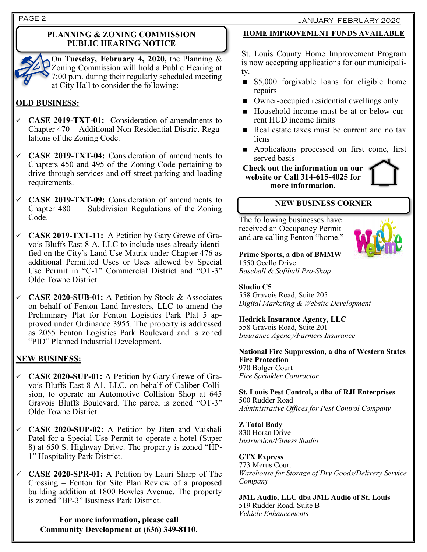## **PLANNING & ZONING COMMISSION PUBLIC HEARING NOTICE**



On **Tuesday, February 4, 2020,** the Planning & Zoning Commission will hold a Public Hearing at 7:00 p.m. during their regularly scheduled meeting at City Hall to consider the following:

# **OLD BUSINESS:**

- ✓ **CASE 2019-TXT-01:** Consideration of amendments to Chapter 470 – Additional Non-Residential District Regulations of the Zoning Code.
- ✓ **CASE 2019-TXT-04:** Consideration of amendments to Chapters 450 and 495 of the Zoning Code pertaining to drive-through services and off-street parking and loading requirements.
- ✓ **CASE 2019-TXT-09:** Consideration of amendments to Chapter 480 – Subdivision Regulations of the Zoning Code.
- ✓ **CASE 2019-TXT-11:** A Petition by Gary Grewe of Gravois Bluffs East 8-A, LLC to include uses already identified on the City's Land Use Matrix under Chapter 476 as additional Permitted Uses or Uses allowed by Special Use Permit in "C-1" Commercial District and "OT-3" Olde Towne District.
- ✓ **CASE 2020-SUB-01:** A Petition by Stock & Associates on behalf of Fenton Land Investors, LLC to amend the Preliminary Plat for Fenton Logistics Park Plat 5 approved under Ordinance 3955. The property is addressed as 2055 Fenton Logistics Park Boulevard and is zoned "PID" Planned Industrial Development.

# **NEW BUSINESS:**

- ✓ **CASE 2020-SUP-01:** A Petition by Gary Grewe of Gravois Bluffs East 8-A1, LLC, on behalf of Caliber Collision, to operate an Automotive Collision Shop at 645 Gravois Bluffs Boulevard. The parcel is zoned "OT-3" Olde Towne District.
- ✓ **CASE 2020-SUP-02:** A Petition by Jiten and Vaishali Patel for a Special Use Permit to operate a hotel (Super 8) at 650 S. Highway Drive. The property is zoned "HP-1" Hospitality Park District.
- ✓ **CASE 2020-SPR-01:** A Petition by Lauri Sharp of The Crossing – Fenton for Site Plan Review of a proposed building addition at 1800 Bowles Avenue. The property is zoned "BP-3" Business Park District.

**For more information, please call Community Development at (636) 349-8110.**

# **HOME IMPROVEMENT FUNDS AVAILABLE**

St. Louis County Home Improvement Program is now accepting applications for our municipality.

- **S5,000** forgivable loans for eligible home repairs
- Owner-occupied residential dwellings only
- Household income must be at or below current HUD income limits
- Real estate taxes must be current and no tax liens
- **Applications processed on first come, first** served basis

**Check out the information on our website or Call 314-615-4025 for more information.**



# **NEW BUSINESS CORNER**

The following businesses have received an Occupancy Permit and are calling Fenton "home."



**Prime Sports, a dba of BMMW** 1550 Ocello Drive *Baseball & Softball Pro-Shop*

## **Studio C5**

558 Gravois Road, Suite 205 *Digital Marketing & Website Development*

## **Hedrick Insurance Agency, LLC**

558 Gravois Road, Suite 201 *Insurance Agency/Farmers Insurance*

**National Fire Suppression, a dba of Western States Fire Protection** 970 Bolger Court *Fire Sprinkler Contractor*

**St. Louis Pest Control, a dba of RJI Enterprises** 500 Rudder Road *Administrative Offices for Pest Control Company*

## **Z Total Body**

830 Horan Drive *Instruction/Fitness Studio*

## **GTX Express**

773 Merus Court *Warehouse for Storage of Dry Goods/Delivery Service Company*

**JML Audio, LLC dba JML Audio of St. Louis** 519 Rudder Road, Suite B *Vehicle Enhancements*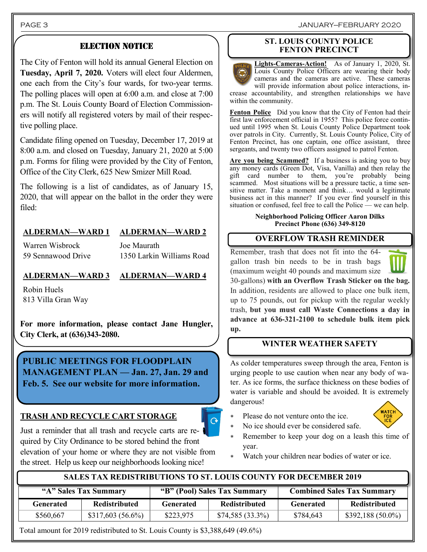PAGE 3 JANUARY—FEBRUARY 2020

# ELECTION NOTICE

The City of Fenton will hold its annual General Election on **Tuesday, April 7, 2020.** Voters will elect four Aldermen, one each from the City's four wards, for two-year terms. The polling places will open at 6:00 a.m. and close at 7:00 p.m. The St. Louis County Board of Election Commissioners will notify all registered voters by mail of their respective polling place.

Candidate filing opened on Tuesday, December 17, 2019 at 8:00 a.m. and closed on Tuesday, January 21, 2020 at 5:00 p.m. Forms for filing were provided by the City of Fenton, Office of the City Clerk, 625 New Smizer Mill Road.

The following is a list of candidates, as of January 15, 2020, that will appear on the ballot in the order they were filed:

# **ALDERMAN—WARD 1 ALDERMAN—WARD 2**

Warren Wisbrock 59 Sennawood Drive Joe Maurath 1350 Larkin Williams Road

## **ALDERMAN—WARD 3 ALDERMAN—WARD 4**

Robin Huels 813 Villa Gran Way

**For more information, please contact Jane Hungler, City Clerk, at (636)343-2080.**

**PUBLIC MEETINGS FOR FLOODPLAIN MANAGEMENT PLAN — Jan. 27, Jan. 29 and Feb. 5. See our website for more information.**

# **TRASH AND RECYCLE CART STORAGE**

Just a reminder that all trash and recycle carts are required by City Ordinance to be stored behind the front elevation of your home or where they are not visible from the street. Help us keep our neighborhoods looking nice!

#### **ST. LOUIS COUNTY POLICE FENTON PRECINCT**

**Lights-Cameras-Action!** As of January 1, 2020, St. Louis County Police Officers are wearing their body cameras and the cameras are active. These cameras will provide information about police interactions, increase accountability, and strengthen relationships we have within the community.

Fenton Police Did you know that the City of Fenton had their first law enforcement official in 1955? This police force continued until 1995 when St. Louis County Police Department took over patrols in City. Currently, St. Louis County Police, City of Fenton Precinct, has one captain, one office assistant, three sergeants, and twenty two officers assigned to patrol Fenton.

Are you being Scammed? If a business is asking you to buy any money cards (Green Dot, Visa, Vanilla) and then relay the gift card number to them, you're probably being scammed. Most situations will be a pressure tactic, a time sensitive matter. Take a moment and think… would a legitimate business act in this manner? If you ever find yourself in this situation or confused, feel free to call the Police — we can help.

#### **Neighborhood Policing Officer Aaron Dilks Precinct Phone (636) 349-8120**

# **OVERFLOW TRASH REMINDER**

Remember, trash that does not fit into the 64 gallon trash bin needs to be in trash bags



(maximum weight 40 pounds and maximum size 30-gallons) **with an Overflow Trash Sticker on the bag.**  In addition, residents are allowed to place one bulk item, up to 75 pounds, out for pickup with the regular weekly trash, **but you must call Waste Connections a day in advance at 636-321-2100 to schedule bulk item pick up.**

# **WINTER WEATHER SAFETY**

As colder temperatures sweep through the area, Fenton is urging people to use caution when near any body of water. As ice forms, the surface thickness on these bodies of water is variable and should be avoided. It is extremely dangerous!

Please do not venture onto the ice.



- No ice should ever be considered safe.
- Remember to keep your dog on a leash this time of year.
- Watch your children near bodies of water or ice.

# **SALES TAX REDISTRIBUTIONS TO ST. LOUIS COUNTY FOR DECEMBER 2019**

 $\overline{C}$ 

| "A" Sales Tax Summary |                      | "B" (Pool) Sales Tax Summary |                      | <b>Combined Sales Tax Summary</b> |                    |
|-----------------------|----------------------|------------------------------|----------------------|-----------------------------------|--------------------|
| Generated             | <b>Redistributed</b> | Generated                    | <b>Redistributed</b> | Generated                         | Redistributed      |
| \$560,667             | \$317,603(56.6%)     | \$223,975                    | $$74,585(33.3\%)$    | \$784,643                         | $$392,188(50.0\%)$ |

Total amount for 2019 redistributed to St. Louis County is \$3,388,649 (49.6%)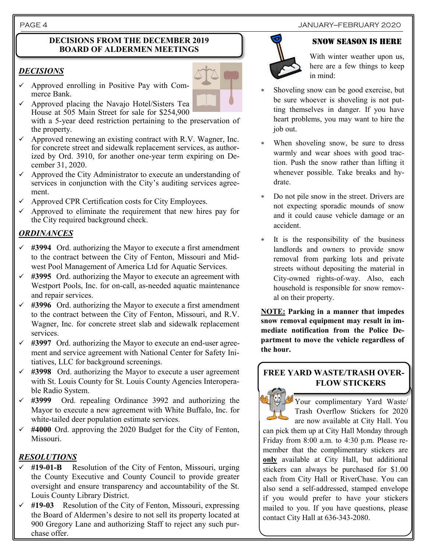#### **DECISIONS FROM THE DECEMBER 2019 BOARD OF ALDERMEN MEETINGS**

# *DECISIONS*

- $\checkmark$  Approved enrolling in Positive Pay with Commerce Bank.
- $\checkmark$  Approved placing the Navajo Hotel/Sisters Tea House at 505 Main Street for sale for \$254,900 with a 5-year deed restriction pertaining to the preservation of

the property.

- $\checkmark$  Approved renewing an existing contract with R.V. Wagner, Inc. for concrete street and sidewalk replacement services, as authorized by Ord. 3910, for another one-year term expiring on December 31, 2020.
- $\checkmark$  Approved the City Administrator to execute an understanding of services in conjunction with the City's auditing services agreement.
- $\checkmark$  Approved CPR Certification costs for City Employees.
- $\checkmark$  Approved to eliminate the requirement that new hires pay for the City required background check.

# *ORDINANCES*

- ✓ **#3994** Ord. authorizing the Mayor to execute a first amendment to the contract between the City of Fenton, Missouri and Midwest Pool Management of America Ltd for Aquatic Services.
- ✓ **#3995** Ord. authorizing the Mayor to execute an agreement with Westport Pools, Inc. for on-call, as-needed aquatic maintenance and repair services.
- ✓ **#3996** Ord. authorizing the Mayor to execute a first amendment to the contract between the City of Fenton, Missouri, and R.V. Wagner, Inc. for concrete street slab and sidewalk replacement services.
- ✓ **#3997** Ord. authorizing the Mayor to execute an end-user agreement and service agreement with National Center for Safety Initiatives, LLC for background screenings.
- ✓ **#3998** Ord. authorizing the Mayor to execute a user agreement with St. Louis County for St. Louis County Agencies Interoperable Radio System.
- ✓ **#3999** Ord. repealing Ordinance 3992 and authorizing the Mayor to execute a new agreement with White Buffalo, Inc. for white-tailed deer population estimate services.
- ✓ **#4000** Ord. approving the 2020 Budget for the City of Fenton, Missouri.

# *RESOLUTIONS*

- ✓ **#19-01-B** Resolution of the City of Fenton, Missouri, urging the County Executive and County Council to provide greater oversight and ensure transparency and accountability of the St. Louis County Library District.
- ✓ **#19-03** Resolution of the City of Fenton, Missouri, expressing the Board of Aldermen's desire to not sell its property located at 900 Gregory Lane and authorizing Staff to reject any such purchase offer.

# PAGE 4 JANUARY—FEBRUARY 2020

#### Snow season is here



With winter weather upon us, here are a few things to keep in mind:

- Shoveling snow can be good exercise, but be sure whoever is shoveling is not putting themselves in danger. If you have heart problems, you may want to hire the job out.
- When shoveling snow, be sure to dress warmly and wear shoes with good traction. Push the snow rather than lifting it whenever possible. Take breaks and hydrate.
- Do not pile snow in the street. Drivers are not expecting sporadic mounds of snow and it could cause vehicle damage or an accident.
- It is the responsibility of the business landlords and owners to provide snow removal from parking lots and private streets without depositing the material in City-owned rights-of-way. Also, each household is responsible for snow removal on their property.

**NOTE: Parking in a manner that impedes snow removal equipment may result in immediate notification from the Police Department to move the vehicle regardless of the hour.**

## **FREE YARD WASTE/TRASH OVER-FLOW STICKERS**

Your complimentary Yard Waste/ Trash Overflow Stickers for 2020 are now available at City Hall. You

can pick them up at City Hall Monday through Friday from 8:00 a.m. to 4:30 p.m. Please remember that the complimentary stickers are **only** available at City Hall, but additional stickers can always be purchased for \$1.00 each from City Hall or RiverChase. You can also send a self-addressed, stamped envelope if you would prefer to have your stickers mailed to you. If you have questions, please contact City Hall at 636-343-2080.

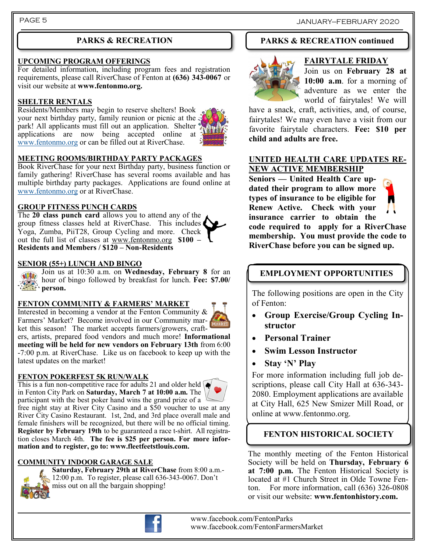# **PARKS & RECREATION**

#### **UPCOMING PROGRAM OFFERINGS**

For detailed information, including program fees and registration requirements, please call RiverChase of Fenton at **(636) 343-0067** or visit our website at **www.fentonmo.org.**

#### **SHELTER RENTALS**

Residents/Members may begin to reserve shelters! Book your next birthday party, family reunion or picnic at the park! All applicants must fill out an application. Shelter applications are now being accepted online at [www.fentonmo.org](http://www.fentonmo.org) or can be filled out at RiverChase.



#### **MEETING ROOMS/BIRTHDAY PARTY PACKAGES**

Book RiverChase for your next Birthday party, business function or family gathering! RiverChase has several rooms available and has multiple birthday party packages. Applications are found online at [www.fentonmo.org](http://www.fentonmo.org) or at RiverChase.

#### **GROUP FITNESS PUNCH CARDS**

The **20 class punch card** allows you to attend any of the group fitness classes held at RiverChase. This includes Yoga, Zumba, PiiT28, Group Cycling and more. Check out the full list of classes at [www.fentonmo.org](http://www.fentonmo.org) **\$100 – Residents and Members / \$120 – Non-Residents**

#### **SENIOR (55+) LUNCH AND BINGO**

Join us at 10:30 a.m. on **Wednesday, February 8** for an **SILED** hour of bingo followed by breakfast for lunch. **Fee: \$7.00/ person.**<br>*person.* 

#### **FENTON COMMUNITY & FARMERS' MARKET**



Interested in becoming a vendor at the Fenton Community & Farmers' Market? Become involved in our Community market this season! The market accepts farmers/growers, crafters, artists, prepared food vendors and much more! **Informational meeting will be held for new vendors on February 13th** from 6:00 -7:00 p.m. at RiverChase. Like us on facebook to keep up with the

#### **FENTON POKERFEST 5K RUN/WALK**

latest updates on the market!

This is a fun non-competitive race for adults 21 and older held  $\bullet$ in Fenton City Park on **Saturday, March 7 at 10:00 a.m.** The participant with the best poker hand wins the grand prize of a free night stay at River City Casino and a \$50 voucher to use at any River City Casino Restaurant. 1st, 2nd, and 3rd place overall male and female finishers will be recognized, but there will be no official timing. **Register by February 19th** to be guaranteed a race t-shirt. All registration closes March 4th. **The fee is \$25 per person. For more information and to register, go to: www.fleetfeetstlouis.com.**

#### **COMMUNITY INDOOR GARAGE SALE**



**Saturday, February 29th at RiverChase** from 8:00 a.m.- 12:00 p.m. To register, please call 636-343-0067. Don't miss out on all the bargain shopping!

## **PARKS & RECREATION continued**



#### **FAIRYTALE FRIDAY**

Join us on **February 28 at 10:00 a.m**. for a morning of adventure as we enter the world of fairytales! We will

have a snack, craft, activities, and, of course, fairytales! We may even have a visit from our favorite fairytale characters. **Fee: \$10 per child and adults are free.**

#### **UNITED HEALTH CARE UPDATES RE-NEW ACTIVE MEMBERSHIP**

**Seniors — United Health Care updated their program to allow more types of insurance to be eligible for Renew Active. Check with your insurance carrier to obtain the** 



**code required to apply for a RiverChase membership. You must provide the code to RiverChase before you can be signed up.**

# **EMPLOYMENT OPPORTUNITIES**

The following positions are open in the City of Fenton:

- **Group Exercise/Group Cycling Instructor**
- **Personal Trainer**
- **Swim Lesson Instructor**
- **Stay 'N' Play**

For more information including full job descriptions, please call City Hall at 636-343- 2080. Employment applications are available at City Hall, 625 New Smizer Mill Road, or online at www.fentonmo.org.

# **FENTON HISTORICAL SOCIETY**

The monthly meeting of the Fenton Historical Society will be held on **Thursday, February 6 at 7:00 p.m.** The Fenton Historical Society is located at #1 Church Street in Olde Towne Fenton. For more information, call (636) 326-0808 or visit our website: **www.fentonhistory.com.**



www.facebook.com/FentonParks www.facebook.com/FentonFarmersMarket